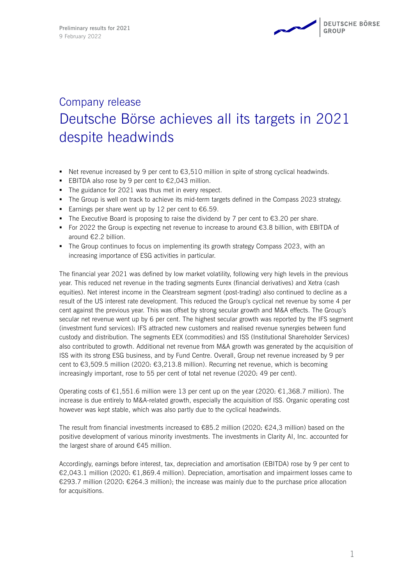# Company release Deutsche Börse achieves all its targets in 2021 despite headwinds

- Net revenue increased by 9 per cent to  $€3,510$  million in spite of strong cyclical headwinds.
- EBITDA also rose by 9 per cent to  $€2,043$  million.
- The guidance for 2021 was thus met in every respect.
- **The Group is well on track to achieve its mid-term targets defined in the Compass 2023 strategy.**
- Earnings per share went up by 12 per cent to  $€6.59$ .
- The Executive Board is proposing to raise the dividend by 7 per cent to  $€3.20$  per share.
- For 2022 the Group is expecting net revenue to increase to around  $€3.8$  billion, with EBITDA of around €2.2 billion.
- **•** The Group continues to focus on implementing its growth strategy Compass 2023, with an increasing importance of ESG activities in particular.

The financial year 2021 was defined by low market volatility, following very high levels in the previous year. This reduced net revenue in the trading segments Eurex (financial derivatives) and Xetra (cash equities). Net interest income in the Clearstream segment (post-trading) also continued to decline as a result of the US interest rate development. This reduced the Group's cyclical net revenue by some 4 per cent against the previous year. This was offset by strong secular growth and M&A effects. The Group's secular net revenue went up by 6 per cent. The highest secular growth was reported by the IFS segment (investment fund services): IFS attracted new customers and realised revenue synergies between fund custody and distribution. The segments EEX (commodities) and ISS (Institutional Shareholder Services) also contributed to growth. Additional net revenue from M&A growth was generated by the acquisition of ISS with its strong ESG business, and by Fund Centre. Overall, Group net revenue increased by 9 per cent to  $63,509.5$  million (2020:  $63,213.8$  million). Recurring net revenue, which is becoming increasingly important, rose to 55 per cent of total net revenue (2020: 49 per cent).

Operating costs of  $\epsilon$ 1,551.6 million were 13 per cent up on the year (2020:  $\epsilon$ 1,368.7 million). The increase is due entirely to M&A-related growth, especially the acquisition of ISS. Organic operating cost however was kept stable, which was also partly due to the cyclical headwinds.

The result from financial investments increased to  $E$ 85.2 million (2020:  $E$ 24.3 million) based on the positive development of various minority investments. The investments in Clarity AI, Inc. accounted for the largest share of around €45 million.

Accordingly, earnings before interest, tax, depreciation and amortisation (EBITDA) rose by 9 per cent to €2,043.1 million (2020: €1,869.4 million). Depreciation, amortisation and impairment losses came to €293.7 million (2020: €264.3 million); the increase was mainly due to the purchase price allocation for acquisitions.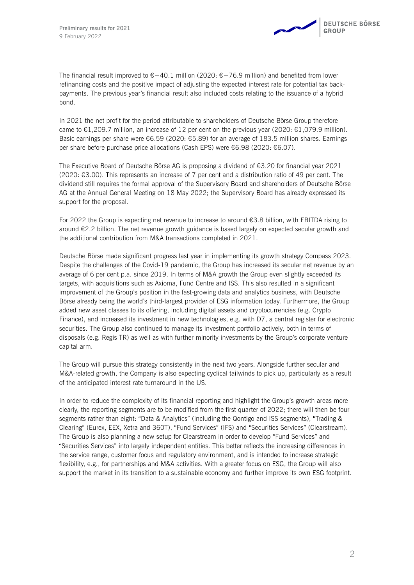The financial result improved to €−40.1 million (2020: €−76.9 million) and benefited from lower refinancing costs and the positive impact of adjusting the expected interest rate for potential tax backpayments. The previous year's financial result also included costs relating to the issuance of a hybrid bond.

In 2021 the net profit for the period attributable to shareholders of Deutsche Börse Group therefore came to  $\epsilon$ 1,209.7 million, an increase of 12 per cent on the previous year (2020:  $\epsilon$ 1,079.9 million). Basic earnings per share were  $\epsilon$ 6.59 (2020:  $\epsilon$ 5.89) for an average of 183.5 million shares. Earnings per share before purchase price allocations (Cash EPS) were €6.98 (2020: €6.07).

The Executive Board of Deutsche Börse AG is proposing a dividend of €3.20 for financial year 2021 (2020: €3.00). This represents an increase of 7 per cent and a distribution ratio of 49 per cent. The dividend still requires the formal approval of the Supervisory Board and shareholders of Deutsche Börse AG at the Annual General Meeting on 18 May 2022; the Supervisory Board has already expressed its support for the proposal.

For 2022 the Group is expecting net revenue to increase to around €3.8 billion, with EBITDA rising to around €2.2 billion. The net revenue growth guidance is based largely on expected secular growth and the additional contribution from M&A transactions completed in 2021.

Deutsche Börse made significant progress last year in implementing its growth strategy Compass 2023. Despite the challenges of the Covid-19 pandemic, the Group has increased its secular net revenue by an average of 6 per cent p.a. since 2019. In terms of M&A growth the Group even slightly exceeded its targets, with acquisitions such as Axioma, Fund Centre and ISS. This also resulted in a significant improvement of the Group's position in the fast-growing data and analytics business, with Deutsche Börse already being the world's third-largest provider of ESG information today. Furthermore, the Group added new asset classes to its offering, including digital assets and cryptocurrencies (e.g. Crypto Finance), and increased its investment in new technologies, e.g. with D7, a central register for electronic securities. The Group also continued to manage its investment portfolio actively, both in terms of disposals (e.g. Regis-TR) as well as with further minority investments by the Group's corporate venture capital arm.

The Group will pursue this strategy consistently in the next two years. Alongside further secular and M&A-related growth, the Company is also expecting cyclical tailwinds to pick up, particularly as a result of the anticipated interest rate turnaround in the US.

In order to reduce the complexity of its financial reporting and highlight the Group's growth areas more clearly, the reporting segments are to be modified from the first quarter of 2022; there will then be four segments rather than eight: "Data & Analytics" (including the Qontigo and ISS segments), "Trading & Clearing" (Eurex, EEX, Xetra and 360T), "Fund Services" (IFS) and "Securities Services" (Clearstream). The Group is also planning a new setup for Clearstream in order to develop "Fund Services" and "Securities Services" into largely independent entities. This better reflects the increasing differences in the service range, customer focus and regulatory environment, and is intended to increase strategic flexibility, e.g., for partnerships and M&A activities. With a greater focus on ESG, the Group will also support the market in its transition to a sustainable economy and further improve its own ESG footprint.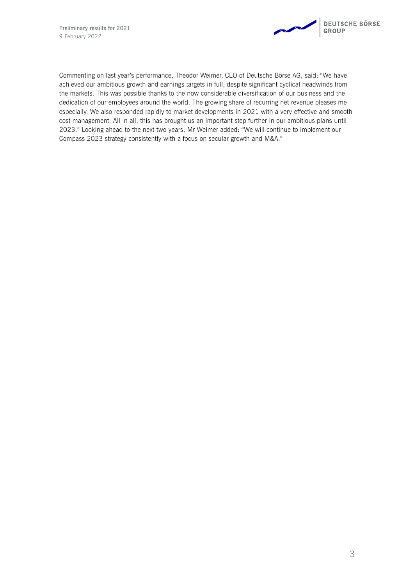

Commenting on last year's performance, Theodor Weimer, CEO of Deutsche Börse AG, said: "We have achieved our ambitious growth and earnings targets in full, despite significant cyclical headwinds from the markets. This was possible thanks to the now considerable diversification of our business and the dedication of our employees around the world. The growing share of recurring net revenue pleases me especially. We also responded rapidly to market developments in 2021 with a very effective and smooth cost management. All in all, this has brought us an important step further in our ambitious plans until 2023." Looking ahead to the next two years, Mr Weimer added: "We will continue to implement our Compass 2023 strategy consistently with a focus on secular growth and M&A."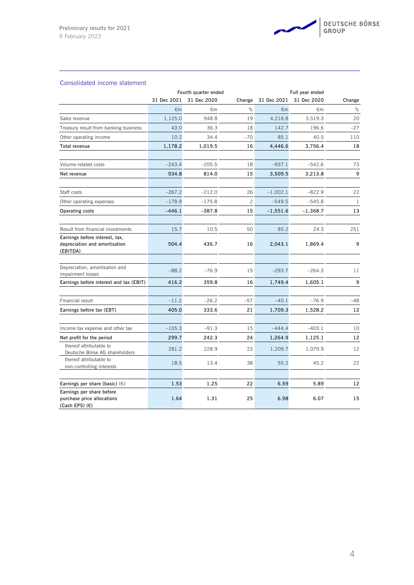

## Consolidated income statement

|                                                                             | Fourth quarter ended |             |              | Full year ended |             |              |
|-----------------------------------------------------------------------------|----------------------|-------------|--------------|-----------------|-------------|--------------|
|                                                                             | 31 Dec 2021          | 31 Dec 2020 | Change       | 31 Dec 2021     | 31 Dec 2020 | Change       |
|                                                                             | €m                   | €m          | $\%$         | €m              | €m          | $\%$         |
| Sales revenue                                                               | 1,125.0              | 948.8       | 19           | 4,218.8         | 3,519.3     | 20           |
| Treasury result from banking business                                       | 43.0                 | 36.3        | 18           | 142.7           | 196.6       | $-27$        |
| Other operating income                                                      | 10.2                 | 34.4        | $-70$        | 85.1            | 40.5        | 110          |
| Total revenue                                                               | 1,178.2              | 1,019.5     | 16           | 4,446.6         | 3,756.4     | 18           |
| Volume-related costs                                                        | $-243.4$             | $-205.5$    | 18           | $-937.1$        | $-542.6$    | 73           |
| Net revenue                                                                 | 934.8                | 814.0       | 15           | 3,509.5         | 3,213.8     | 9            |
| Staff costs                                                                 | $-267.2$             | $-212.0$    | 26           | $-1,002.1$      | $-822.9$    | 22           |
| Other operating expenses                                                    | $-178.9$             | $-175.8$    | $\mathbf{2}$ | $-549.5$        | $-545.8$    | $\mathbf{1}$ |
| Operating costs                                                             | $-446.1$             | $-387.8$    | 15           | $-1,551.6$      | $-1,368.7$  | 13           |
| Result from financial investments                                           | 15.7                 | 10.5        | 50           | 85.2            | 24.3        | 251          |
| Earnings before interest, tax,<br>depreciation and amortisation<br>(EBITDA) | 504.4                | 436.7       | 16           | 2,043.1         | 1,869.4     | 9            |
| Depreciation, amortisation and<br>impairment losses                         | $-88.2$              | $-76.9$     | 15           | $-293.7$        | $-264.3$    | 11           |
| Earnings before interest and tax (EBIT)                                     | 416.2                | 359.8       | 16           | 1,749.4         | 1,605.1     | 9            |
| Financial result                                                            | $-11.2$              | $-26.2$     | $-57$        | $-40.1$         | $-76.9$     | -48          |
| Earnings before tax (EBT)                                                   | 405.0                | 333.6       | 21           | 1,709.3         | 1,528.2     | 12           |
| Income tax expense and other tax                                            | $-105.3$             | $-91.3$     | 15           | $-444.4$        | $-403.1$    | 10           |
| Net profit for the period                                                   | 299.7                | 242.3       | 24           | 1,264.9         | 1,125.1     | 12           |
| thereof attributable to<br>Deutsche Börse AG shareholders                   | 281.2                | 228.9       | 23           | 1,209.7         | 1,079.9     | 12           |
| thereof attributable to<br>non-controlling interests                        | 18.5                 | 13.4        | 38           | 55.2            | 45.2        | 22           |
| Earnings per share (basic) $(\epsilon)$                                     | 1.53                 | 1.25        | 22           | 6.59            | 5.89        | 12           |
| Earnings per share before<br>purchase price allocations<br>(Cash EPS) (€)   | 1.64                 | 1.31        | 25           | 6.98            | 6.07        | 15           |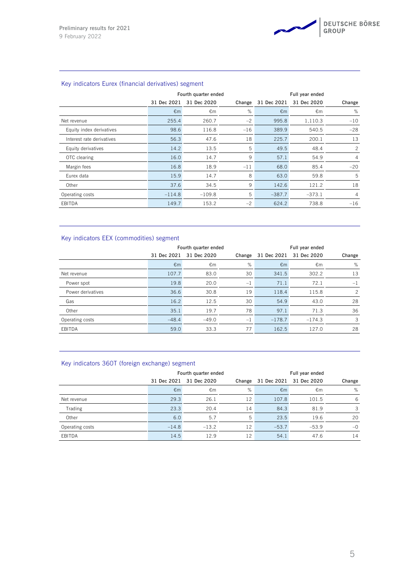

|                           | Fourth quarter ended |              |        | Full year ended |             |                |  |
|---------------------------|----------------------|--------------|--------|-----------------|-------------|----------------|--|
|                           | 31 Dec 2021          | 31 Dec 2020  | Change | 31 Dec 2021     | 31 Dec 2020 | Change         |  |
|                           | $\epsilon$ m         | $\epsilon$ m | %      | $\epsilon$ m    | €m          | %              |  |
| Net revenue               | 255.4                | 260.7        | $-2$   | 995.8           | 1,110.3     | $-10$          |  |
| Equity index derivatives  | 98.6                 | 116.8        | $-16$  | 389.9           | 540.5       | $-28$          |  |
| Interest rate derivatives | 56.3                 | 47.6         | 18     | 225.7           | 200.1       | 13             |  |
| Equity derivatives        | 14.2                 | 13.5         | 5      | 49.5            | 48.4        | $\overline{c}$ |  |
| OTC clearing              | 16.0                 | 14.7         | 9      | 57.1            | 54.9        | $\overline{4}$ |  |
| Margin fees               | 16.8                 | 18.9         | $-11$  | 68.0            | 85.4        | $-20$          |  |
| Eurex data                | 15.9                 | 14.7         | 8      | 63.0            | 59.8        | 5              |  |
| Other                     | 37.6                 | 34.5         | 9      | 142.6           | 121.2       | 18             |  |
| Operating costs           | $-114.8$             | $-109.8$     | 5      | $-387.7$        | $-373.1$    | $\overline{4}$ |  |
| EBITDA                    | 149.7                | 153.2        | $-2$   | 624.2           | 738.8       | $-16$          |  |

## Key indicators Eurex (financial derivatives) segment

## Key indicators EEX (commodities) segment

|                   | Fourth quarter ended |              |        | Full year ended |             |               |
|-------------------|----------------------|--------------|--------|-----------------|-------------|---------------|
|                   | 31 Dec 2021          | 31 Dec 2020  | Change | 31 Dec 2021     | 31 Dec 2020 | Change        |
|                   | $\epsilon$ m         | $\epsilon$ m | %      | $\epsilon$ m    | €m          | %             |
| Net revenue       | 107.7                | 83.0         | 30     | 341.5           | 302.2       | 13            |
| Power spot        | 19.8                 | 20.0         | $-1$   | 71.1            | 72.1        | $-1$          |
| Power derivatives | 36.6                 | 30.8         | 19     | 118.4           | 115.8       | $\mathcal{P}$ |
| Gas               | 16.2                 | 12.5         | 30     | 54.9            | 43.0        | 28            |
| Other             | 35.1                 | 19.7         | 78     | 97.1            | 71.3        | 36            |
| Operating costs   | $-48.4$              | $-49.0$      | $-1$   | $-178.7$        | $-174.3$    | 3             |
| EBITDA            | 59.0                 | 33.3         | 77     | 162.5           | 127.0       | 28            |

| $1.57$ $1.41$ $2.53$ $3.55$ $3.75$ $3.75$ $3.75$ $3.75$ $3.75$ $3.75$ $3.75$ |              |                      |        |                 |                         |        |  |
|------------------------------------------------------------------------------|--------------|----------------------|--------|-----------------|-------------------------|--------|--|
|                                                                              |              | Fourth quarter ended |        | Full year ended |                         |        |  |
|                                                                              | 31 Dec 2021  | 31 Dec 2020          | Change |                 | 31 Dec 2021 31 Dec 2020 | Change |  |
|                                                                              | $\epsilon$ m | €m                   | %      | $\epsilon$ m    | €m                      | %      |  |
| Net revenue                                                                  | 29.3         | 26.1                 | 12     | 107.8           | 101.5                   | -6     |  |
| Trading                                                                      | 23.3         | 20.4                 | 14     | 84.3            | 81.9                    | 3      |  |
| Other                                                                        | 6.0          | 5.7                  | 5      | 23.5            | 19.6                    | 20     |  |
| Operating costs                                                              | $-14.8$      | $-13.2$              | 12     | $-53.7$         | $-53.9$                 | $-0$   |  |
| EBITDA                                                                       | 14.5         | 12.9                 | 12     | 54.1            | 47.6                    | 14     |  |

### Key indicators 360T (foreign exchange) segment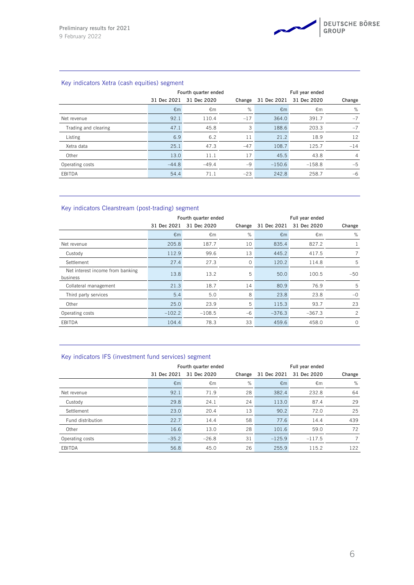

## Key indicators Xetra (cash equities) segment

|                      |              | Fourth quarter ended |        |              | Full year ended |                |  |
|----------------------|--------------|----------------------|--------|--------------|-----------------|----------------|--|
|                      | 31 Dec 2021  | 31 Dec 2020          | Change | 31 Dec 2021  | 31 Dec 2020     | Change         |  |
|                      | $\epsilon$ m | €m                   | %      | $\epsilon$ m | €m              | %              |  |
| Net revenue          | 92.1         | 110.4                | $-17$  | 364.0        | 391.7           | $-7$           |  |
| Trading and clearing | 47.1         | 45.8                 | 3      | 188.6        | 203.3           | $-7$           |  |
| Listing              | 6.9          | 6.2                  | 11     | 21.2         | 18.9            | 12             |  |
| Xetra data           | 25.1         | 47.3                 | $-47$  | 108.7        | 125.7           | $-14$          |  |
| Other                | 13.0         | 11.1                 | 17     | 45.5         | 43.8            | $\overline{4}$ |  |
| Operating costs      | $-44.8$      | $-49.4$              | $-9$   | $-150.6$     | $-158.8$        | $-5$           |  |
| EBITDA               | 54.4         | 71.1                 | $-23$  | 242.8        | 258.7           | $-6$           |  |

## Key indicators Clearstream (post-trading) segment

|                                              | Fourth quarter ended |              |         | Full year ended |             |               |  |
|----------------------------------------------|----------------------|--------------|---------|-----------------|-------------|---------------|--|
|                                              | 31 Dec 2021          | 31 Dec 2020  | Change  | 31 Dec 2021     | 31 Dec 2020 | Change        |  |
|                                              | $\epsilon$ m         | $\epsilon$ m | %       | $\epsilon$ m    | €m          | %             |  |
| Net revenue                                  | 205.8                | 187.7        | 10      | 835.4           | 827.2       |               |  |
| Custody                                      | 112.9                | 99.6         | 13      | 445.2           | 417.5       |               |  |
| Settlement                                   | 27.4                 | 27.3         | $\circ$ | 120.2           | 114.8       | 5             |  |
| Net interest income from banking<br>business | 13.8                 | 13.2         | 5       | 50.0            | 100.5       | $-50$         |  |
| Collateral management                        | 21.3                 | 18.7         | 14      | 80.9            | 76.9        | 5             |  |
| Third party services                         | 5.4                  | 5.0          | 8       | 23.8            | 23.8        | $-0$          |  |
| Other                                        | 25.0                 | 23.9         | 5       | 115.3           | 93.7        | 23            |  |
| Operating costs                              | $-102.2$             | $-108.5$     | $-6$    | $-376.3$        | $-367.3$    | $\mathcal{P}$ |  |
| EBITDA                                       | 104.4                | 78.3         | 33      | 459.6           | 458.0       | $\Omega$      |  |

## Key indicators IFS (investment fund services) segment

|                   |              | Fourth quarter ended |        | Full year ended |             |        |  |
|-------------------|--------------|----------------------|--------|-----------------|-------------|--------|--|
|                   | 31 Dec 2021  | 31 Dec 2020          | Change | 31 Dec 2021     | 31 Dec 2020 | Change |  |
|                   | $\epsilon$ m | €m                   | %      | $\epsilon$ m    | €m          | %      |  |
| Net revenue       | 92.1         | 71.9                 | 28     | 382.4           | 232.8       | 64     |  |
| Custody           | 29.8         | 24.1                 | 24     | 113.0           | 87.4        | 29     |  |
| Settlement        | 23.0         | 20.4                 | 13     | 90.2            | 72.0        | 25     |  |
| Fund distribution | 22.7         | 14.4                 | 58     | 77.6            | 14.4        | 439    |  |
| Other             | 16.6         | 13.0                 | 28     | 101.6           | 59.0        | 72     |  |
| Operating costs   | $-35.2$      | $-26.8$              | 31     | $-125.9$        | $-117.5$    |        |  |
| EBITDA            | 56.8         | 45.0                 | 26     | 255.9           | 115.2       | 122    |  |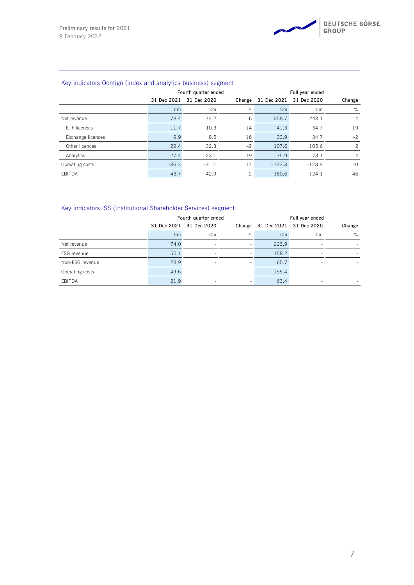## Key indicators Qontigo (index and analytics business) segment

|                   | Fourth quarter ended |              |        | Full year ended |             |                |
|-------------------|----------------------|--------------|--------|-----------------|-------------|----------------|
|                   | 31 Dec 2021          | 31 Dec 2020  | Change | 31 Dec 2021     | 31 Dec 2020 | Change         |
|                   | $\epsilon$ m         | $\epsilon$ m | %      | $\epsilon$ m    | €m          | %              |
| Net revenue       | 78.4                 | 74.2         | 6      | 258.7           | 248.1       | $\overline{4}$ |
| FTF licences      | 11.7                 | 10.3         | 14     | 41.3            | 34.7        | 19             |
| Exchange licences | 9.9                  | 8.5          | 16     | 33.9            | 34.7        | $-2$           |
| Other licences    | 29.4                 | 32.3         | $-9$   | 107.6           | 105.6       | $\mathcal{P}$  |
| Analytics         | 27.4                 | 23.1         | 19     | 75.9            | 73.1        | $\overline{4}$ |
| Operating costs   | $-36.3$              | $-31.1$      | 17     | $-123.3$        | $-123.8$    | $-0$           |
| EBITDA            | 43.7                 | 42.9         | 2      | 180.6           | 124.1       | 46             |

## Key indicators ISS (Institutional Shareholder Services) segment

|                 | Fourth quarter ended |                         |                          | Full year ended |                          |        |
|-----------------|----------------------|-------------------------|--------------------------|-----------------|--------------------------|--------|
|                 |                      | 31 Dec 2021 31 Dec 2020 | Change                   |                 | 31 Dec 2021 31 Dec 2020  | Change |
|                 | $\epsilon$ m         | €m                      | %                        | $\epsilon$ m    | €m                       | %      |
| Net revenue     | 74.0                 | $\sim$                  | $\sim$                   | 223.9           | $\sim$                   |        |
| ESG revenue     | 50.1                 |                         | ۰                        | 158.2           | $\sim$                   |        |
| Non-ESG revenue | 23.9                 | $\sim$                  | $\overline{\phantom{a}}$ | 65.7            | $\overline{\phantom{a}}$ |        |
| Operating costs | $-49.6$              | $\sim$                  | $\sim$                   | $-155.4$        | $\overline{\phantom{a}}$ |        |
| EBITDA          | 21.9                 | $\sim$                  | $\sim$                   | 63.4            | $\overline{\phantom{a}}$ |        |